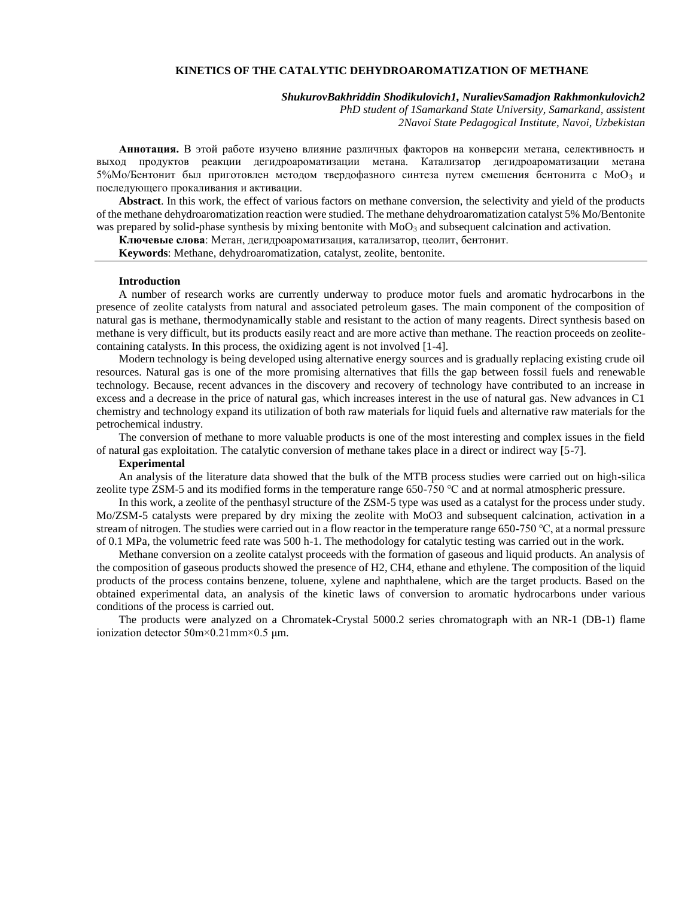## **KINETICS OF THE CATALYTIC DEHYDROAROMATIZATION OF METHANE**

*ShukurovBakhriddin Shodikulovich1, NuralievSamadjon Rakhmonkulovich2*

*PhD student of 1Samarkand State University, Samarkand, assistent 2Navoi State Pedagogical Institute, Navoi, Uzbekistan*

**Аннотация.** В этой работе изучено влияние различных факторов на конверсии метана, селективность и выход продуктов реакции дегидроароматизации метана. Катализатор дегидроароматизации метана 5%Мо/Бентонит был приготовлен методом твердофазного синтеза путем смешения бентонита с Мо $O_3$  и последующего прокаливания и активации.

**Abstract**. In this work, the effect of various factors on methane conversion, the selectivity and yield of the products of the methane dehydroaromatization reaction were studied. The methane dehydroaromatization catalyst 5% Mo/Bentonite was prepared by solid-phase synthesis by mixing bentonite with  $Mo<sub>3</sub>$  and subsequent calcination and activation.

**Ключевые слова**: Метан, дегидроароматизация, катализатор, цеолит, бентонит.

**Keywords**: Methane, dehydroaromatization, catalyst, zeolite, bentonite.

## **Introduction**

A number of research works are currently underway to produce motor fuels and aromatic hydrocarbons in the presence of zeolite catalysts from natural and associated petroleum gases. The main component of the composition of natural gas is methane, thermodynamically stable and resistant to the action of many reagents. Direct synthesis based on methane is very difficult, but its products easily react and are more active than methane. The reaction proceeds on zeolitecontaining catalysts. In this process, the oxidizing agent is not involved [1-4].

Modern technology is being developed using alternative energy sources and is gradually replacing existing crude oil resources. Natural gas is one of the more promising alternatives that fills the gap between fossil fuels and renewable technology. Because, recent advances in the discovery and recovery of technology have contributed to an increase in excess and a decrease in the price of natural gas, which increases interest in the use of natural gas. New advances in C1 chemistry and technology expand its utilization of both raw materials for liquid fuels and alternative raw materials for the petrochemical industry.

The conversion of methane to more valuable products is one of the most interesting and complex issues in the field of natural gas exploitation. The catalytic conversion of methane takes place in a direct or indirect way [5-7].

### **Experimental**

An analysis of the literature data showed that the bulk of the MTB process studies were carried out on high-silica zeolite type ZSM-5 and its modified forms in the temperature range 650-750 ℃ and at normal atmospheric pressure.

In this work, a zeolite of the penthasyl structure of the ZSM-5 type was used as a catalyst for the process under study. Mo/ZSM-5 catalysts were prepared by dry mixing the zeolite with MoO3 and subsequent calcination, activation in a stream of nitrogen. The studies were carried out in a flow reactor in the temperature range 650-750 ℃, at a normal pressure of 0.1 MPa, the volumetric feed rate was 500 h-1. The methodology for catalytic testing was carried out in the work.

Methane conversion on a zeolite catalyst proceeds with the formation of gaseous and liquid products. An analysis of the composition of gaseous products showed the presence of H2, CH4, ethane and ethylene. The composition of the liquid products of the process contains benzene, toluene, xylene and naphthalene, which are the target products. Based on the obtained experimental data, an analysis of the kinetic laws of conversion to aromatic hydrocarbons under various conditions of the process is carried out.

The products were analyzed on a Chromatek-Crystal 5000.2 series chromatograph with an NR-1 (DB-1) flame ionization detector 50m×0.21mm×0.5 μm.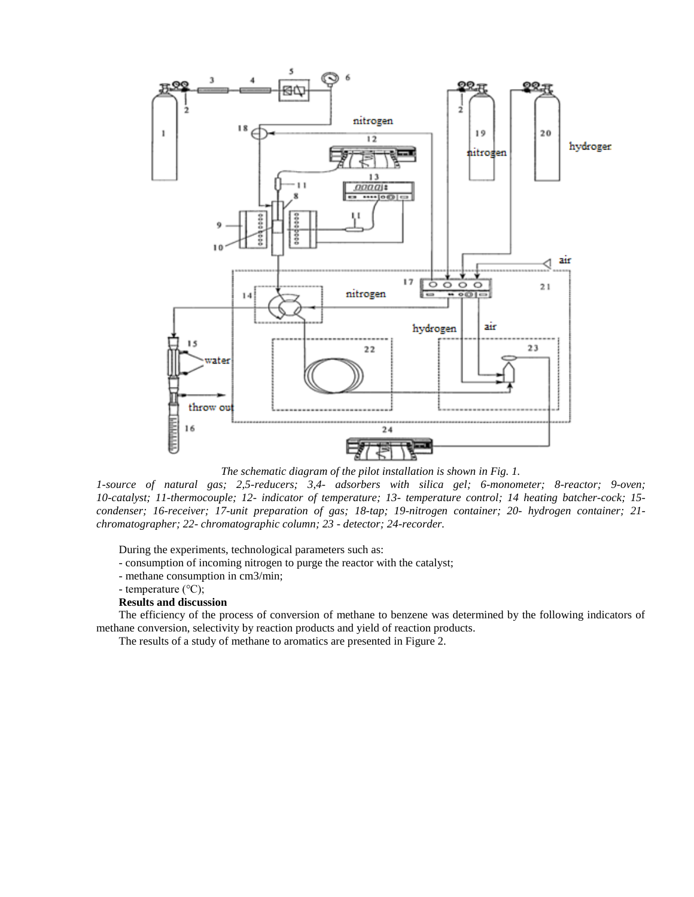

*The schematic diagram of the pilot installation is shown in Fig. 1.* 

*1-source of natural gas; 2,5-reducers; 3,4- adsorbers with silica gel; 6-monometer; 8-reactor; 9-oven; 10-catalyst; 11-thermocouple; 12- indicator of temperature; 13- temperature control; 14 heating batcher-cock; 15 condenser; 16-receiver; 17-unit preparation of gas; 18-tap; 19-nitrogen container; 20- hydrogen container; 21 chromatographer; 22- chromatographic column; 23 - detector; 24-recorder.*

During the experiments, technological parameters such as:

- consumption of incoming nitrogen to purge the reactor with the catalyst;
- methane consumption in cm3/min;
- temperature (℃);

# **Results and discussion**

The efficiency of the process of conversion of methane to benzene was determined by the following indicators of methane conversion, selectivity by reaction products and yield of reaction products.

The results of a study of methane to aromatics are presented in Figure 2.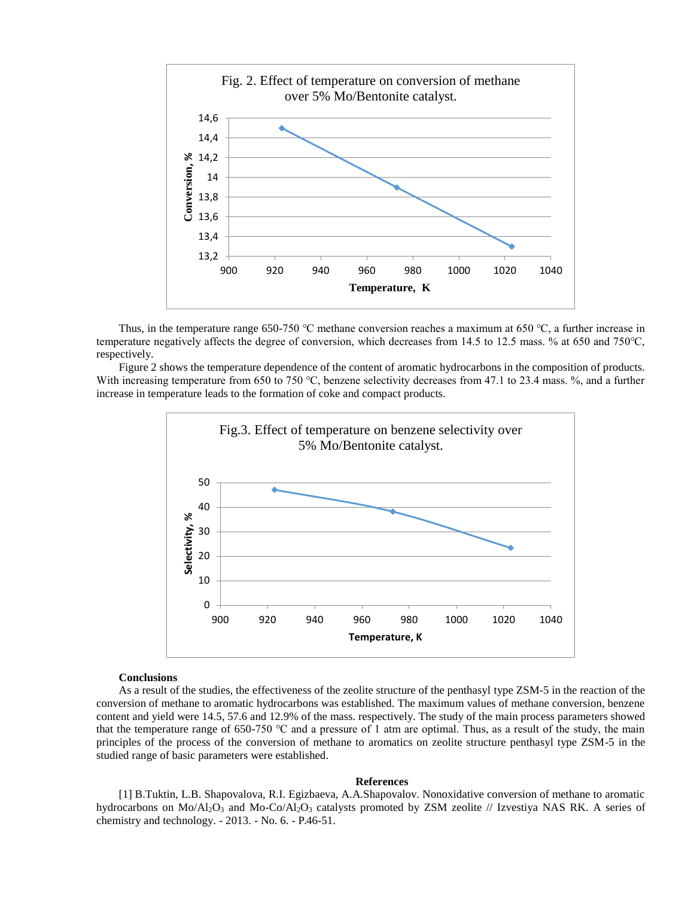

Thus, in the temperature range 650-750 ℃ methane conversion reaches a maximum at 650 ℃, a further increase in temperature negatively affects the degree of conversion, which decreases from 14.5 to 12.5 mass. % at 650 and 750℃, respectively.

Figure 2 shows the temperature dependence of the content of aromatic hydrocarbons in the composition of products. With increasing temperature from 650 to 750 °C, benzene selectivity decreases from 47.1 to 23.4 mass. %, and a further increase in temperature leads to the formation of coke and compact products.



### **Conclusions**

As a result of the studies, the effectiveness of the zeolite structure of the penthasyl type ZSM-5 in the reaction of the conversion of methane to aromatic hydrocarbons was established. The maximum values of methane conversion, benzene content and yield were 14.5, 57.6 and 12.9% of the mass. respectively. The study of the main process parameters showed that the temperature range of 650-750 °C and a pressure of 1 atm are optimal. Thus, as a result of the study, the main principles of the process of the conversion of methane to aromatics on zeolite structure penthasyl type ZSM-5 in the studied range of basic parameters were established.

#### **References**

[1] B.Tuktin, L.B. Shapovalova, R.I. Egizbaeva, A.A.Shapovalov. Nonoxidative conversion of methane to aromatic hydrocarbons on Mo/Al<sub>2</sub>O<sub>3</sub> and Mo-Co/Al<sub>2</sub>O<sub>3</sub> catalysts promoted by ZSM zeolite // Izvestiya NAS RK. A series of chemistry and technology. - 2013. - No. 6. - P.46-51.